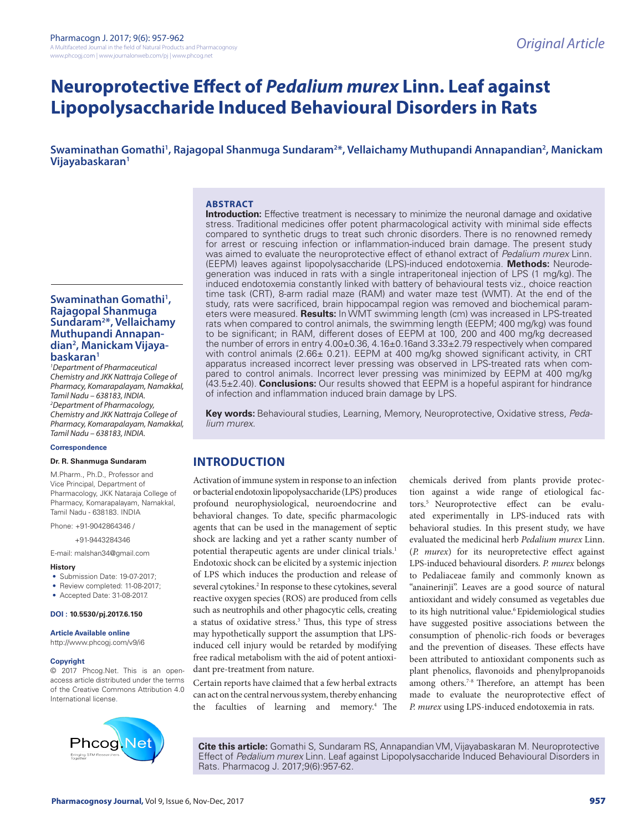# **Neuroprotective Effect of** *Pedalium murex* **Linn. Leaf against Lipopolysaccharide Induced Behavioural Disorders in Rats**

**Swaminathan Gomathi1 , Rajagopal Shanmuga Sundaram2 \*, Vellaichamy Muthupandi Annapandian2 , Manickam Vijayabaskaran1**

#### **ABSTRACT Introduction:** Effective treatment is necessary to minimize the neuronal damage and oxidative

stress. Traditional medicines offer potent pharmacological activity with minimal side effects compared to synthetic drugs to treat such chronic disorders. There is no renowned remedy for arrest or rescuing infection or inflammation-induced brain damage. The present study was aimed to evaluate the neuroprotective effect of ethanol extract of *Pedalium murex* Linn. (EEPM) leaves against lipopolysaccharide (LPS)-induced endotoxemia. **Methods:** Neurodegeneration was induced in rats with a single intraperitoneal injection of LPS (1 mg/kg). The induced endotoxemia constantly linked with battery of behavioural tests viz., choice reaction time task (CRT), 8-arm radial maze (RAM) and water maze test (WMT). At the end of the study, rats were sacrificed, brain hippocampal region was removed and biochemical parameters were measured. **Results:** In WMT swimming length (cm) was increased in LPS-treated rats when compared to control animals, the swimming length (EEPM; 400 mg/kg) was found to be significant; in RAM, different doses of EEPM at 100, 200 and 400 mg/kg decreased the number of errors in entry 4.00±0.36, 4.16±0.16and 3.33±2.79 respectively when compared with control animals (2.66 $\pm$  0.21). EEPM at 400 mg/kg showed significant activity, in CRT apparatus increased incorrect lever pressing was observed in LPS-treated rats when compared to control animals. Incorrect lever pressing was minimized by EEPM at 400 mg/kg (43.5±2.40). **Conclusions:** Our results showed that EEPM is a hopeful aspirant for hindrance of infection and inflammation induced brain damage by LPS.

**Key words:** Behavioural studies, Learning, Memory, Neuroprotective, Oxidative stress, *Pedalium murex*.

# **INTRODUCTION**

Activation of immune system in response to an infection or bacterial endotoxin lipopolysaccharide (LPS) produces profound neurophysiological, neuroendocrine and behavioral changes. To date, specific pharmacologic agents that can be used in the management of septic shock are lacking and yet a rather scanty number of potential therapeutic agents are under clinical trials.<sup>1</sup> Endotoxic shock can be elicited by a systemic injection of LPS which induces the production and release of several cytokines.<sup>2</sup> In response to these cytokines, several reactive oxygen species (ROS) are produced from cells such as neutrophils and other phagocytic cells, creating a status of oxidative stress.<sup>3</sup> Thus, this type of stress may hypothetically support the assumption that LPSinduced cell injury would be retarded by modifying free radical metabolism with the aid of potent antioxidant pre-treatment from nature.

Certain reports have claimed that a few herbal extracts can act on the central nervous system, thereby enhancing the faculties of learning and memory.4 The chemicals derived from plants provide protection against a wide range of etiological factors.5 Neuroprotective effect can be evaluated experimentally in LPS-induced rats with behavioral studies. In this present study, we have evaluated the medicinal herb *Pedalium murex* Linn. (*P. murex*) for its neuropretective effect against LPS-induced behavioural disorders. *P. murex* belongs to Pedaliaceae family and commonly known as "anainerinji". Leaves are a good source of natural antioxidant and widely consumed as vegetables due to its high nutritional value.<sup>6</sup> Epidemiological studies have suggested positive associations between the consumption of phenolic-rich foods or beverages and the prevention of diseases. These effects have been attributed to antioxidant components such as plant phenolics, flavonoids and phenylpropanoids among others.<sup>7-8</sup> Therefore, an attempt has been made to evaluate the neuroprotective effect of *P. murex* using LPS-induced endotoxemia in rats.

**Cite this article:** Gomathi S, Sundaram RS, Annapandian VM, Vijayabaskaran M. Neuroprotective Effect of *Pedalium murex* Linn. Leaf against Lipopolysaccharide Induced Behavioural Disorders in Rats. Pharmacog J. 2017;9(6):957-62.

Swaminathan Gomathi<sup>1</sup>, **Rajagopal Shanmuga Sundaram2 \*, Vellaichamy Muthupandi Annapandian2 , Manickam Vijayabaskaran1**

*1 Department of Pharmaceutical Chemistry and JKK Nattraja College of Pharmacy, Komarapalayam, Namakkal, Tamil Nadu – 638183, INDIA. 2 Department of Pharmacology, Chemistry and JKK Nattraja College of Pharmacy, Komarapalayam, Namakkal, Tamil Nadu – 638183, INDIA.*

#### **Correspondence**

**Dr. R. Shanmuga Sundaram**

M.Pharm., Ph.D., Professor and Vice Principal, Department of Pharmacology, JKK Nataraja College of Pharmacy, Komarapalayam, Namakkal, Tamil Nadu - 638183. INDIA

Phone: +91-9042864346 /

+91-9443284346

E-mail: malshan34@gmail.com

#### **History**

- Submission Date: 19-07-2017;
- Review completed: 11-08-2017;
- Accepted Date: 31-08-2017.

#### **DOI : 10.5530/pj.2017.6.150**

#### **Article Available online**

http://www.phcogj.com/v9/i6

## **Copyright**

© 2017 Phcog.Net. This is an openaccess article distributed under the terms of the Creative Commons Attribution 4.0 International license.

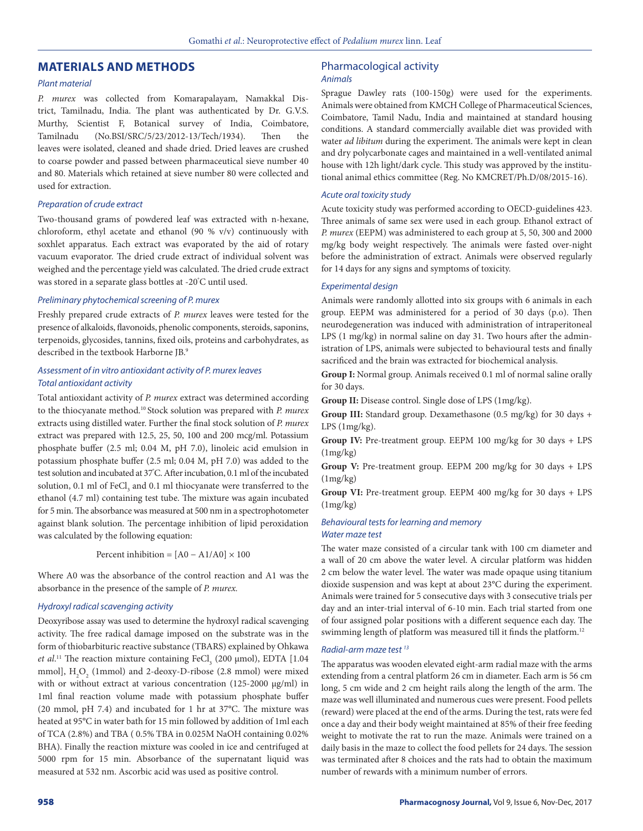# **MATERIALS AND METHODS**

#### *Plant material*

*P. murex* was collected from Komarapalayam, Namakkal District, Tamilnadu, India. The plant was authenticated by Dr. G.V.S. Murthy, Scientist F, Botanical survey of India, Coimbatore, Tamilnadu (No.BSI/SRC/5/23/2012-13/Tech/1934). Then the leaves were isolated, cleaned and shade dried. Dried leaves are crushed to coarse powder and passed between pharmaceutical sieve number 40 and 80. Materials which retained at sieve number 80 were collected and used for extraction.

#### *Preparation of crude extract*

Two-thousand grams of powdered leaf was extracted with n-hexane, chloroform, ethyl acetate and ethanol (90 % v/v) continuously with soxhlet apparatus. Each extract was evaporated by the aid of rotary vacuum evaporator. The dried crude extract of individual solvent was weighed and the percentage yield was calculated. The dried crude extract was stored in a separate glass bottles at -20° C until used.

#### *Preliminary phytochemical screening of P. murex*

Freshly prepared crude extracts of *P. murex* leaves were tested for the presence of alkaloids, flavonoids, phenolic components, steroids, saponins, terpenoids, glycosides, tannins, fixed oils, proteins and carbohydrates, as described in the textbook Harborne JB.9

#### *Assessment of in vitro antioxidant activity of P. murex leaves Total antioxidant activity*

Total antioxidant activity of *P. murex* extract was determined according to the thiocyanate method.10 Stock solution was prepared with *P. murex*  extracts using distilled water. Further the final stock solution of *P. murex* extract was prepared with 12.5, 25, 50, 100 and 200 mcg/ml. Potassium phosphate buffer (2.5 ml; 0.04 M, pH 7.0), linoleic acid emulsion in potassium phosphate buffer (2.5 ml; 0.04 M, pH 7.0) was added to the test solution and incubated at 37**°** C. After incubation, 0.1 ml of the incubated solution, 0.1 ml of  $\mathrm{FeCl}_3$  and 0.1 ml thiocyanate were transferred to the ethanol (4.7 ml) containing test tube. The mixture was again incubated for 5 min. The absorbance was measured at 500 nm in a spectrophotometer against blank solution. The percentage inhibition of lipid peroxidation was calculated by the following equation:

Percent inhibition =  $[A0 - A1/A0] \times 100$ 

Where A0 was the absorbance of the control reaction and A1 was the absorbance in the presence of the sample of *P. murex.*

#### *Hydroxyl radical scavenging activity*

Deoxyribose assay was used to determine the hydroxyl radical scavenging activity. The free radical damage imposed on the substrate was in the form of thiobarbituric reactive substance (TBARS) explained by Ohkawa *et al.*<sup>11</sup> The reaction mixture containing FeCl<sub>3</sub> (200 µmol), EDTA [1.04 mmol],  $H_2O_2$  (1mmol) and 2-deoxy-D-ribose (2.8 mmol) were mixed with or without extract at various concentration (125-2000 µg/ml) in 1ml final reaction volume made with potassium phosphate buffer (20 mmol, pH 7.4) and incubated for 1 hr at 37°C. The mixture was heated at 95°C in water bath for 15 min followed by addition of 1ml each of TCA (2.8%) and TBA ( 0.5% TBA in 0.025M NaOH containing 0.02% BHA). Finally the reaction mixture was cooled in ice and centrifuged at 5000 rpm for 15 min. Absorbance of the supernatant liquid was measured at 532 nm. Ascorbic acid was used as positive control.

#### Pharmacological activity *Animals*

Sprague Dawley rats (100-150g) were used for the experiments. Animals were obtained from KMCH College of Pharmaceutical Sciences, Coimbatore, Tamil Nadu, India and maintained at standard housing conditions. A standard commercially available diet was provided with water *ad libitum* during the experiment. The animals were kept in clean and dry polycarbonate cages and maintained in a well-ventilated animal house with 12h light/dark cycle. This study was approved by the institutional animal ethics committee (Reg. No KMCRET/Ph.D/08/2015-16).

#### *Acute oral toxicity study*

Acute toxicity study was performed according to OECD-guidelines 423. Three animals of same sex were used in each group. Ethanol extract of *P. murex* (EEPM) was administered to each group at 5, 50, 300 and 2000 mg/kg body weight respectively. The animals were fasted over-night before the administration of extract. Animals were observed regularly for 14 days for any signs and symptoms of toxicity.

#### *Experimental design*

Animals were randomly allotted into six groups with 6 animals in each group. EEPM was administered for a period of 30 days (p.o). Then neurodegeneration was induced with administration of intraperitoneal LPS (1 mg/kg) in normal saline on day 31. Two hours after the administration of LPS, animals were subjected to behavioural tests and finally sacrificed and the brain was extracted for biochemical analysis.

**Group I:** Normal group. Animals received 0.1 ml of normal saline orally for 30 days.

**Group II:** Disease control. Single dose of LPS (1mg/kg).

**Group III:** Standard group. Dexamethasone (0.5 mg/kg) for 30 days + LPS (1mg/kg).

**Group IV:** Pre-treatment group. EEPM 100 mg/kg for 30 days + LPS  $(1mg/kg)$ 

**Group V:** Pre-treatment group. EEPM 200 mg/kg for 30 days + LPS  $(1mg/kg)$ 

**Group VI:** Pre-treatment group. EEPM 400 mg/kg for 30 days + LPS  $(1mg/kg)$ 

#### *Behavioural tests for learning and memory Water maze test*

The water maze consisted of a circular tank with 100 cm diameter and a wall of 20 cm above the water level. A circular platform was hidden 2 cm below the water level. The water was made opaque using titanium dioxide suspension and was kept at about 23°C during the experiment. Animals were trained for 5 consecutive days with 3 consecutive trials per day and an inter-trial interval of 6-10 min. Each trial started from one of four assigned polar positions with a different sequence each day. The swimming length of platform was measured till it finds the platform.<sup>12</sup>

#### *Radial-arm maze test 13*

The apparatus was wooden elevated eight-arm radial maze with the arms extending from a central platform 26 cm in diameter. Each arm is 56 cm long, 5 cm wide and 2 cm height rails along the length of the arm. The maze was well illuminated and numerous cues were present. Food pellets (reward) were placed at the end of the arms. During the test, rats were fed once a day and their body weight maintained at 85% of their free feeding weight to motivate the rat to run the maze. Animals were trained on a daily basis in the maze to collect the food pellets for 24 days. The session was terminated after 8 choices and the rats had to obtain the maximum number of rewards with a minimum number of errors.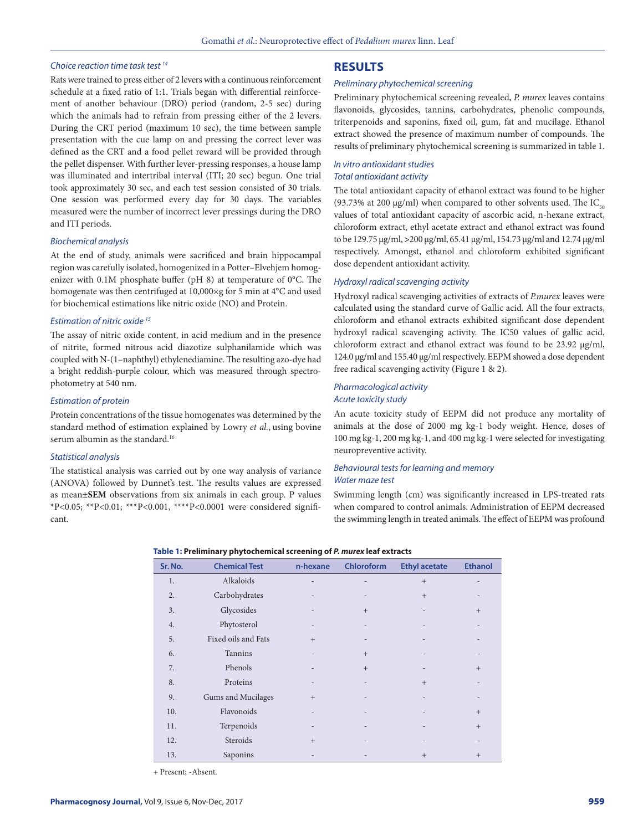#### *Choice reaction time task test 14*

# Rats were trained to press either of 2 levers with a continuous reinforcement schedule at a fixed ratio of 1:1. Trials began with differential reinforcement of another behaviour (DRO) period (random, 2-5 sec) during which the animals had to refrain from pressing either of the 2 levers. During the CRT period (maximum 10 sec), the time between sample presentation with the cue lamp on and pressing the correct lever was defined as the CRT and a food pellet reward will be provided through the pellet dispenser. With further lever-pressing responses, a house lamp was illuminated and intertribal interval (ITI; 20 sec) begun. One trial took approximately 30 sec, and each test session consisted of 30 trials. One session was performed every day for 30 days. The variables measured were the number of incorrect lever pressings during the DRO and ITI periods.

#### *Biochemical analysis*

At the end of study, animals were sacrificed and brain hippocampal region was carefully isolated, homogenized in a Potter–Elvehjem homogenizer with 0.1M phosphate buffer (pH 8) at temperature of 0°C. The homogenate was then centrifuged at 10,000×g for 5 min at 4°C and used for biochemical estimations like nitric oxide (NO) and Protein.

#### *Estimation of nitric oxide 15*

The assay of nitric oxide content, in acid medium and in the presence of nitrite, formed nitrous acid diazotize sulphanilamide which was coupled with N-(1–naphthyl) ethylenediamine. The resulting azo-dye had a bright reddish-purple colour, which was measured through spectrophotometry at 540 nm.

#### *Estimation of protein*

Protein concentrations of the tissue homogenates was determined by the standard method of estimation explained by Lowry *et al.*, using bovine serum albumin as the standard.<sup>16</sup>

#### *Statistical analysis*

The statistical analysis was carried out by one way analysis of variance (ANOVA) followed by Dunnet's test. The results values are expressed as mean**±SEM** observations from six animals in each group. P values \*P<0.05; \*\*P<0.01; \*\*\*P<0.001, \*\*\*\*P<0.0001 were considered significant.

# **RESULTS**

#### *Preliminary phytochemical screening*

Preliminary phytochemical screening revealed, *P. murex* leaves contains flavonoids, glycosides, tannins, carbohydrates, phenolic compounds, triterpenoids and saponins, fixed oil, gum, fat and mucilage. Ethanol extract showed the presence of maximum number of compounds. The results of preliminary phytochemical screening is summarized in table 1.

# *In vitro antioxidant studies Total antioxidant activity*

The total antioxidant capacity of ethanol extract was found to be higher (93.73% at 200 µg/ml) when compared to other solvents used. The  $IC_{50}$ values of total antioxidant capacity of ascorbic acid, n-hexane extract, chloroform extract, ethyl acetate extract and ethanol extract was found to be 129.75 μg/ml, **>**200 μg/ml, 65.41 μg/ml, 154.73 μg/ml and 12.74 μg/ml respectively. Amongst, ethanol and chloroform exhibited significant dose dependent antioxidant activity.

#### *Hydroxyl radical scavenging activity*

Hydroxyl radical scavenging activities of extracts of *P.murex* leaves were calculated using the standard curve of Gallic acid. All the four extracts, chloroform and ethanol extracts exhibited significant dose dependent hydroxyl radical scavenging activity. The IC50 values of gallic acid, chloroform extract and ethanol extract was found to be 23.92 μg/ml, 124.0 μg/ml and 155.40 μg/ml respectively. EEPM showed a dose dependent free radical scavenging activity (Figure 1 & 2).

#### *Pharmacological activity Acute toxicity study*

An acute toxicity study of EEPM did not produce any mortality of animals at the dose of 2000 mg kg-1 body weight. Hence, doses of 100 mg kg-1, 200 mg kg-1, and 400 mg kg-1 were selected for investigating neuropreventive activity.

#### *Behavioural tests for learning and memory Water maze test*

Swimming length (cm) was significantly increased in LPS-treated rats when compared to control animals. Administration of EEPM decreased the swimming length in treated animals. The effect of EEPM was profound

#### **Table 1: Preliminary phytochemical screening of** *P. murex* **leaf extracts**

| Sr. No.          | <b>Chemical Test</b> | n-hexane | Chloroform | <b>Ethyl acetate</b> | <b>Ethanol</b>    |
|------------------|----------------------|----------|------------|----------------------|-------------------|
| 1.               | Alkaloids            |          |            | $+$                  |                   |
| $\overline{2}$ . | Carbohydrates        |          |            | $+$                  |                   |
| 3.               | Glycosides           |          | $+$        |                      | $+$               |
| 4.               | Phytosterol          |          |            |                      |                   |
| 5.               | Fixed oils and Fats  | $+$      |            |                      |                   |
| 6.               | Tannins              |          | $+$        |                      |                   |
| 7.               | Phenols              |          | $+$        |                      | $+$               |
| 8.               | Proteins             |          |            | $+$                  | $\qquad \qquad -$ |
| 9.               | Gums and Mucilages   | $+$      |            |                      |                   |
| 10.              | Flavonoids           |          |            |                      | $+$               |
| 11.              | Terpenoids           |          |            |                      | $+$               |
| 12.              | Steroids             | $+$      |            |                      |                   |
| 13.              | Saponins             |          |            | $^{+}$               | $^{+}$            |

+ Present; -Absent.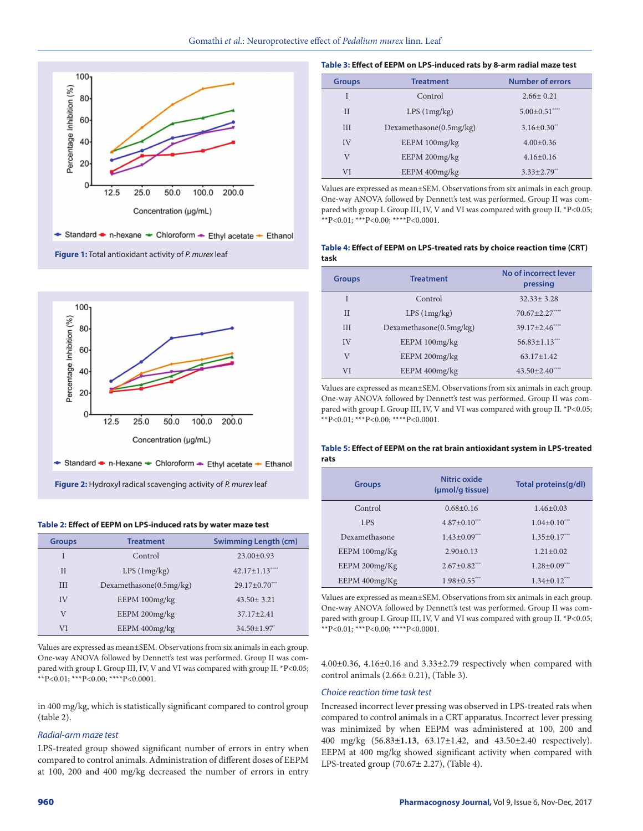





#### **Table 2: Effect of EEPM on LPS-induced rats by water maze test**

| <b>Groups</b> | <b>Treatment</b>           | <b>Swimming Length (cm)</b> |
|---------------|----------------------------|-----------------------------|
| Ī             | Control                    | $23.00 \pm 0.93$            |
| $_{II}$       | LPS(1mg/kg)                | 42.17±1.13****              |
| III           | Dexamethasone $(0.5mg/kg)$ | $29.17 \pm 0.70$ ***        |
| IV            | EEPM 100mg/kg              | $43.50 \pm 3.21$            |
| $\rm V$       | EEPM 200mg/kg              | $37.17 + 2.41$              |
| VI            | EEPM 400mg/kg              | $34.50 \pm 1.97$            |

Values are expressed as mean±SEM. Observations from six animals in each group. One-way ANOVA followed by Dennett's test was performed. Group II was compared with group I. Group III, IV, V and VI was compared with group II. \*P<0.05; \*\*P<0.01; \*\*\*P<0.00; \*\*\*\*P<0.0001.

in 400 mg/kg, which is statistically significant compared to control group (table 2).

## *Radial-arm maze test*

LPS-treated group showed significant number of errors in entry when compared to control animals. Administration of different doses of EEPM at 100, 200 and 400 mg/kg decreased the number of errors in entry

### **Table 3: Effect of EEPM on LPS-induced rats by 8-arm radial maze test**

| <b>Groups</b> | <b>Treatment</b>        | <b>Number of errors</b> |
|---------------|-------------------------|-------------------------|
| Ī             | Control                 | $2.66 \pm 0.21$         |
| $_{II}$       | LPS(1mg/kg)             | $5.00 \pm 0.51$ ****    |
| III           | Dexamethasone(0.5mg/kg) | $3.16 + 0.30$ **        |
| IV            | EEPM 100mg/kg           | $4.00+0.36$             |
| V             | EEPM 200mg/kg           | $4.16 + 0.16$           |
| VI            | EEPM 400mg/kg           | $3.33 \pm 2.79$ **      |

Values are expressed as mean±SEM. Observations from six animals in each group. One-way ANOVA followed by Dennett's test was performed. Group II was compared with group I. Group III, IV, V and VI was compared with group II. \*P<0.05; \*\*P<0.01; \*\*\*P<0.00; \*\*\*\*P<0.0001.

#### **Table 4: Effect of EEPM on LPS-treated rats by choice reaction time (CRT) task**

| <b>Groups</b> | <b>Treatment</b>        | No of incorrect lever<br>pressing |
|---------------|-------------------------|-----------------------------------|
| I             | Control                 | $32.33 + 3.28$                    |
| $\mathbf{I}$  | LPS(1mg/kg)             | $70.67 \pm 2.27$ ****             |
| III           | Dexamethasone(0.5mg/kg) | $39.17 \pm 2.46$ ****             |
| IV            | EEPM 100mg/kg           | $56.83 \pm 1.13$                  |
| V             | EEPM 200mg/kg           | $63.17 \pm 1.42$                  |
| VI            | EEPM 400mg/kg           | $43.50 \pm 2.40$ ****             |

Values are expressed as mean±SEM. Observations from six animals in each group. One-way ANOVA followed by Dennett's test was performed. Group II was compared with group I. Group III, IV, V and VI was compared with group II. \*P<0.05; \*\*P<0.01; \*\*\*P<0.00; \*\*\*\*P<0.0001.

## **Table 5: Effect of EEPM on the rat brain antioxidant system in LPS-treated rats**

| <b>Groups</b> | Nitric oxide<br>(umol/g tissue) | Total proteins(g/dl) |
|---------------|---------------------------------|----------------------|
| Control       | $0.68 + 0.16$                   | $1.46 + 0.03$        |
| <b>LPS</b>    | $4.87+0.10***$                  | $1.04 \pm 0.10$ ***  |
| Dexamethasone | $1.43 + 0.09***$                | $1.35 + 0.17***$     |
| EEPM100mg/Kg  | $2.90+0.13$                     | $1.21 + 0.02$        |
| EEPM 200mg/Kg | $2.67 + 0.82$ ***               | $1.28 \pm 0.09$ ***  |
| EEPM 400mg/Kg | $1.98 + 0.55$ ***               | $1.34 \pm 0.12$ ***  |

Values are expressed as mean±SEM. Observations from six animals in each group. One-way ANOVA followed by Dennett's test was performed. Group II was compared with group I. Group III, IV, V and VI was compared with group II. \*P<0.05; \*\*P<0.01; \*\*\*P<0.00; \*\*\*\*P<0.0001.

4.00±0.36, 4.16±0.16 and 3.33±2.79 respectively when compared with control animals (2.66± 0.21), (Table 3).

# *Choice reaction time task test*

Increased incorrect lever pressing was observed in LPS-treated rats when compared to control animals in a CRT apparatus. Incorrect lever pressing was minimized by when EEPM was administered at 100, 200 and 400 mg/kg (56.83**±1.13**, 63.17±1.42, and 43.50±2.40 respectively). EEPM at 400 mg/kg showed significant activity when compared with LPS-treated group (70.67**±** 2.27), (Table 4).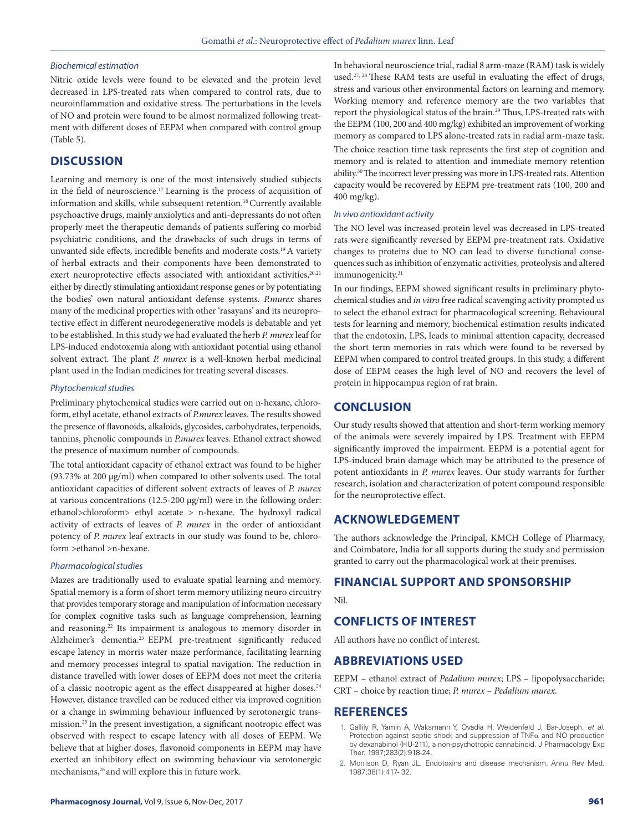### *Biochemical estimation*

Nitric oxide levels were found to be elevated and the protein level decreased in LPS-treated rats when compared to control rats, due to neuroinflammation and oxidative stress. The perturbations in the levels of NO and protein were found to be almost normalized following treatment with different doses of EEPM when compared with control group (Table 5).

# **DISCUSSION**

Learning and memory is one of the most intensively studied subjects in the field of neuroscience.17 Learning is the process of acquisition of information and skills, while subsequent retention.<sup>18</sup> Currently available psychoactive drugs, mainly anxiolytics and anti-depressants do not often properly meet the therapeutic demands of patients suffering co morbid psychiatric conditions, and the drawbacks of such drugs in terms of unwanted side effects, incredible benefits and moderate costs.19 A variety of herbal extracts and their components have been demonstrated to exert neuroprotective effects associated with antioxidant activities, 20,21 either by directly stimulating antioxidant response genes or by potentiating the bodies' own natural antioxidant defense systems. *P.murex* shares many of the medicinal properties with other 'rasayans' and its neuroprotective effect in different neurodegenerative models is debatable and yet to be established. In this study we had evaluated the herb *P. murex* leaf for LPS-induced endotoxemia along with antioxidant potential using ethanol solvent extract. The plant *P. murex* is a well-known herbal medicinal plant used in the Indian medicines for treating several diseases.

#### *Phytochemical studies*

Preliminary phytochemical studies were carried out on n-hexane, chloroform, ethyl acetate, ethanol extracts of *P.murex* leaves. The results showed the presence of flavonoids, alkaloids, glycosides, carbohydrates, terpenoids, tannins, phenolic compounds in *P.murex* leaves. Ethanol extract showed the presence of maximum number of compounds.

The total antioxidant capacity of ethanol extract was found to be higher (93.73% at 200 µg/ml) when compared to other solvents used. The total antioxidant capacities of different solvent extracts of leaves of *P. murex* at various concentrations (12.5-200 μg/ml) were in the following order: ethanol>chloroform> ethyl acetate > n-hexane. The hydroxyl radical activity of extracts of leaves of *P. murex* in the order of antioxidant potency of *P. murex* leaf extracts in our study was found to be, chloroform >ethanol >n-hexane.

#### *Pharmacological studies*

Mazes are traditionally used to evaluate spatial learning and memory. Spatial memory is a form of short term memory utilizing neuro circuitry that provides temporary storage and manipulation of information necessary for complex cognitive tasks such as language comprehension, learning and reasoning.<sup>22</sup> Its impairment is analogous to memory disorder in Alzheimer's dementia.23 EEPM pre-treatment significantly reduced escape latency in morris water maze performance, facilitating learning and memory processes integral to spatial navigation. The reduction in distance travelled with lower doses of EEPM does not meet the criteria of a classic nootropic agent as the effect disappeared at higher doses.<sup>24</sup> However, distance travelled can be reduced either via improved cognition or a change in swimming behaviour influenced by serotonergic transmission.25 In the present investigation, a significant nootropic effect was observed with respect to escape latency with all doses of EEPM. We believe that at higher doses, flavonoid components in EEPM may have exerted an inhibitory effect on swimming behaviour via serotonergic mechanisms,<sup>26</sup> and will explore this in future work.

In behavioral neuroscience trial, radial 8 arm-maze (RAM) task is widely used.27, 28 These RAM tests are useful in evaluating the effect of drugs, stress and various other environmental factors on learning and memory. Working memory and reference memory are the two variables that report the physiological status of the brain.<sup>29</sup> Thus, LPS-treated rats with the EEPM (100, 200 and 400 mg/kg) exhibited an improvement of working memory as compared to LPS alone-treated rats in radial arm-maze task. The choice reaction time task represents the first step of cognition and memory and is related to attention and immediate memory retention ability.30 The incorrect lever pressing was more in LPS-treated rats. Attention capacity would be recovered by EEPM pre-treatment rats (100, 200 and 400 mg/kg).

#### *In vivo antioxidant activity*

The NO level was increased protein level was decreased in LPS-treated rats were significantly reversed by EEPM pre-treatment rats. Oxidative changes to proteins due to NO can lead to diverse functional consequences such as inhibition of enzymatic activities, proteolysis and altered immunogenicity.<sup>31</sup>

In our findings, EEPM showed significant results in preliminary phytochemical studies and *in vitro* free radical scavenging activity prompted us to select the ethanol extract for pharmacological screening. Behavioural tests for learning and memory, biochemical estimation results indicated that the endotoxin, LPS, leads to minimal attention capacity, decreased the short term memories in rats which were found to be reversed by EEPM when compared to control treated groups. In this study, a different dose of EEPM ceases the high level of NO and recovers the level of protein in hippocampus region of rat brain.

# **CONCLUSION**

Our study results showed that attention and short-term working memory of the animals were severely impaired by LPS. Treatment with EEPM significantly improved the impairment. EEPM is a potential agent for LPS-induced brain damage which may be attributed to the presence of potent antioxidants in *P. murex* leaves. Our study warrants for further research, isolation and characterization of potent compound responsible for the neuroprotective effect.

# **ACKNOWLEDGEMENT**

The authors acknowledge the Principal, KMCH College of Pharmacy, and Coimbatore, India for all supports during the study and permission granted to carry out the pharmacological work at their premises.

# **FINANCIAL SUPPORT AND SPONSORSHIP**

#### Nil.

# **CONFLICTS OF INTEREST**

All authors have no conflict of interest.

#### **ABBREVIATIONS USED**

EEPM – ethanol extract of *Pedalium murex*; LPS – lipopolysaccharide; CRT – choice by reaction time; *P. murex* – *Pedalium murex.*

#### **REFERENCES**

- 1. Gallily R, Yamin A, Waksmann Y, Ovadia H, Weidenfeld J, Bar-Joseph, *et al*. Protection against septic shock and suppression of  $TNF\alpha$  and NO production by dexanabinol (HU-211), a non-psychotropic cannabinoid. J Pharmacology Exp Ther. 1997;283(2):918-24.
- 2. Morrison D, Ryan JL. Endotoxins and disease mechanism. Annu Rev Med. 1987;38(1):417- 32.